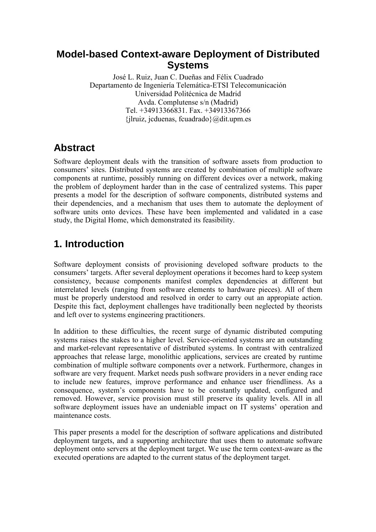### **Model-based Context-aware Deployment of Distributed Systems**

José L. Ruiz, Juan C. Dueñas and Félix Cuadrado Departamento de Ingeniería Telemática-ETSI Telecomunicación Universidad Politécnica de Madrid Avda. Complutense s/n (Madrid) Tel. +34913366831. Fax. +34913367366  $\{$ ilruiz, jcduenas, fcuadrado $\{$  $\emptyset$ dit.upm.es

## **Abstract**

Software deployment deals with the transition of software assets from production to consumers' sites. Distributed systems are created by combination of multiple software components at runtime, possibly running on different devices over a network, making the problem of deployment harder than in the case of centralized systems. This paper presents a model for the description of software components, distributed systems and their dependencies, and a mechanism that uses them to automate the deployment of software units onto devices. These have been implemented and validated in a case study, the Digital Home, which demonstrated its feasibility.

# **1. Introduction**

Software deployment consists of provisioning developed software products to the consumers' targets. After several deployment operations it becomes hard to keep system consistency, because components manifest complex dependencies at different but interrelated levels (ranging from software elements to hardware pieces). All of them must be properly understood and resolved in order to carry out an appropiate action. Despite this fact, deployment challenges have traditionally been neglected by theorists and left over to systems engineering practitioners.

In addition to these difficulties, the recent surge of dynamic distributed computing systems raises the stakes to a higher level. Service-oriented systems are an outstanding and market-relevant representative of distributed systems. In contrast with centralized approaches that release large, monolithic applications, services are created by runtime combination of multiple software components over a network. Furthermore, changes in software are very frequent. Market needs push software providers in a never ending race to include new features, improve performance and enhance user friendliness. As a consequence, system's components have to be constantly updated, configured and removed. However, service provision must still preserve its quality levels. All in all software deployment issues have an undeniable impact on IT systems' operation and maintenance costs.

This paper presents a model for the description of software applications and distributed deployment targets, and a supporting architecture that uses them to automate software deployment onto servers at the deployment target. We use the term context-aware as the executed operations are adapted to the current status of the deployment target.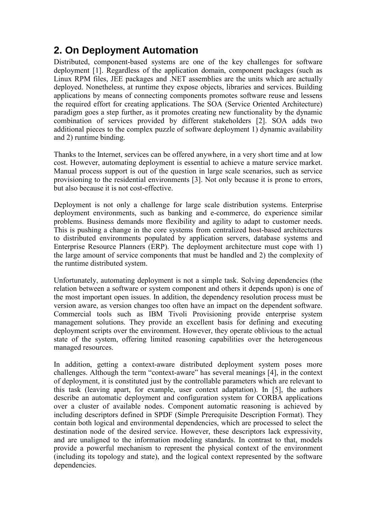# **2. On Deployment Automation**

Distributed, component-based systems are one of the key challenges for software deployment [1]. Regardless of the application domain, component packages (such as Linux RPM files, JEE packages and .NET assemblies are the units which are actually deployed. Nonetheless, at runtime they expose objects, libraries and services. Building applications by means of connecting components promotes software reuse and lessens the required effort for creating applications. The SOA (Service Oriented Architecture) paradigm goes a step further, as it promotes creating new functionality by the dynamic combination of services provided by different stakeholders [2]. SOA adds two additional pieces to the complex puzzle of software deployment 1) dynamic availability and 2) runtime binding.

Thanks to the Internet, services can be offered anywhere, in a very short time and at low cost. However, automating deployment is essential to achieve a mature service market. Manual process support is out of the question in large scale scenarios, such as service provisioning to the residential environments [3]. Not only because it is prone to errors, but also because it is not cost-effective.

Deployment is not only a challenge for large scale distribution systems. Enterprise deployment environments, such as banking and e-commerce, do experience similar problems. Business demands more flexibility and agility to adapt to customer needs. This is pushing a change in the core systems from centralized host-based architectures to distributed environments populated by application servers, database systems and Enterprise Resource Planners (ERP). The deployment architecture must cope with 1) the large amount of service components that must be handled and 2) the complexity of the runtime distributed system.

Unfortunately, automating deployment is not a simple task. Solving dependencies (the relation between a software or system component and others it depends upon) is one of the most important open issues. In addition, the dependency resolution process must be version aware, as version changes too often have an impact on the dependent software. Commercial tools such as IBM Tivoli Provisioning provide enterprise system management solutions. They provide an excellent basis for defining and executing deployment scripts over the environment. However, they operate oblivious to the actual state of the system, offering limited reasoning capabilities over the heterogeneous managed resources.

In addition, getting a context-aware distributed deployment system poses more challenges. Although the term "context-aware" has several meanings [4], in the context of deployment, it is constituted just by the controllable parameters which are relevant to this task (leaving apart, for example, user context adaptation). In [5], the authors describe an automatic deployment and configuration system for CORBA applications over a cluster of available nodes. Component automatic reasoning is achieved by including descriptors defined in SPDF (Simple Prerequisite Description Format). They contain both logical and environmental dependencies, which are processed to select the destination node of the desired service. However, these descriptors lack expressivity, and are unaligned to the information modeling standards. In contrast to that, models provide a powerful mechanism to represent the physical context of the environment (including its topology and state), and the logical context represented by the software dependencies.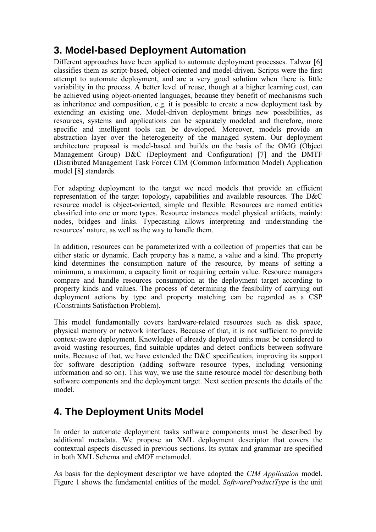## **3. Model-based Deployment Automation**

Different approaches have been applied to automate deployment processes. Talwar [6] classifies them as script-based, object-oriented and model-driven. Scripts were the first attempt to automate deployment, and are a very good solution when there is little variability in the process. A better level of reuse, though at a higher learning cost, can be achieved using object-oriented languages, because they benefit of mechanisms such as inheritance and composition, e.g. it is possible to create a new deployment task by extending an existing one. Model-driven deployment brings new possibilities, as resources, systems and applications can be separately modeled and therefore, more specific and intelligent tools can be developed. Moreover, models provide an abstraction layer over the heterogeneity of the managed system. Our deployment architecture proposal is model-based and builds on the basis of the OMG (Object Management Group) D&C (Deployment and Configuration) [7] and the DMTF (Distributed Management Task Force) CIM (Common Information Model) Application model [8] standards.

For adapting deployment to the target we need models that provide an efficient representation of the target topology, capabilities and available resources. The D&C resource model is object-oriented, simple and flexible. Resources are named entities classified into one or more types. Resource instances model physical artifacts, mainly: nodes, bridges and links. Typecasting allows interpreting and understanding the resources' nature, as well as the way to handle them.

In addition, resources can be parameterized with a collection of properties that can be either static or dynamic. Each property has a name, a value and a kind. The property kind determines the consumption nature of the resource, by means of setting a minimum, a maximum, a capacity limit or requiring certain value. Resource managers compare and handle resources consumption at the deployment target according to property kinds and values. The process of determining the feasibility of carrying out deployment actions by type and property matching can be regarded as a CSP (Constraints Satisfaction Problem).

This model fundamentally covers hardware-related resources such as disk space, physical memory or network interfaces. Because of that, it is not sufficient to provide context-aware deployment. Knowledge of already deployed units must be considered to avoid wasting resources, find suitable updates and detect conflicts between software units. Because of that, we have extended the D&C specification, improving its support for software description (adding software resource types, including versioning information and so on). This way, we use the same resource model for describing both software components and the deployment target. Next section presents the details of the model.

## **4. The Deployment Units Model**

In order to automate deployment tasks software components must be described by additional metadata. We propose an XML deployment descriptor that covers the contextual aspects discussed in previous sections. Its syntax and grammar are specified in both XML Schema and eMOF metamodel.

As basis for the deployment descriptor we have adopted the *CIM Application* model. Figure 1 shows the fundamental entities of the model. SoftwareProductType is the unit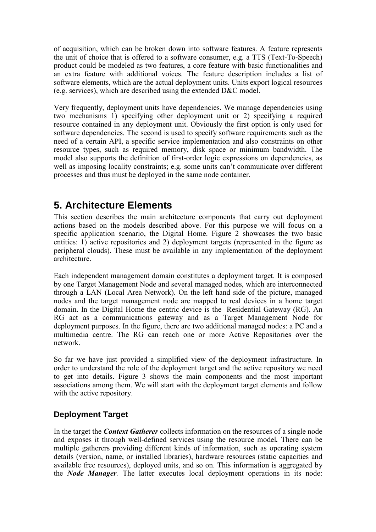of acquisition, which can be broken down into software features. A feature represents the unit of choice that is offered to a software consumer, e.g. a TTS (Text-To-Speech) product could be modeled as two features, a core feature with basic functionalities and an extra feature with additional voices. The feature description includes a list of software elements, which are the actual deployment units. Units export logical resources (e.g. services), which are described using the extended D&C model.

Very frequently, deployment units have dependencies. We manage dependencies using two mechanisms 1) specifying other deployment unit or 2) specifying a required resource contained in any deployment unit. Obviously the first option is only used for software dependencies. The second is used to specify software requirements such as the need of a certain API, a specific service implementation and also constraints on other resource types, such as required memory, disk space or minimum bandwidth. The model also supports the definition of first-order logic expressions on dependencies, as well as imposing locality constraints; e.g. some units can't communicate over different processes and thus must be deployed in the same node container.

### **5. Architecture Elements**

This section describes the main architecture components that carry out deployment actions based on the models described above. For this purpose we will focus on a specific application scenario, the Digital Home. Figure 2 showcases the two basic entities: 1) active repositories and 2) deployment targets (represented in the figure as peripheral clouds). These must be available in any implementation of the deployment architecture.

Each independent management domain constitutes a deployment target. It is composed by one Target Management Node and several managed nodes, which are interconnected through a LAN (Local Area Network). On the left hand side of the picture, managed nodes and the target management node are mapped to real devices in a home target domain. In the Digital Home the centric device is the Residential Gateway (RG). An RG act as a communications gateway and as a Target Management Node for deployment purposes. In the figure, there are two additional managed nodes: a PC and a multimedia centre. The RG can reach one or more Active Repositories over the network.

So far we have just provided a simplified view of the deployment infrastructure. In order to understand the role of the deployment target and the active repository we need to get into details. Figure 3 shows the main components and the most important associations among them. We will start with the deployment target elements and follow with the active repository.

#### **Deployment Target**

In the target the *Context Gatherer* collects information on the resources of a single node and exposes it through well-defined services using the resource model. There can be multiple gatherers providing different kinds of information, such as operating system details (version, name, or installed libraries), hardware resources (static capacities and available free resources), deployed units, and so on. This information is aggregated by the Node Manager. The latter executes local deployment operations in its node: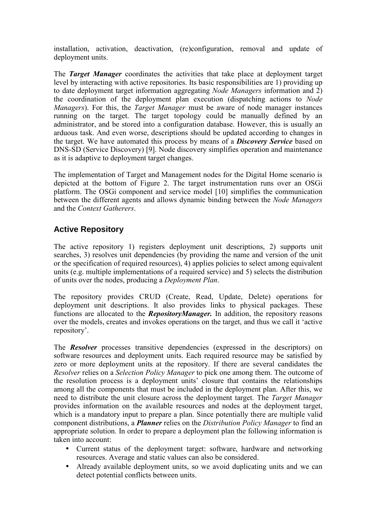installation, activation, deactivation, (re)configuration, removal and update of deployment units.

The *Target Manager* coordinates the activities that take place at deployment target level by interacting with active repositories. Its basic responsibilities are 1) providing up to date deployment target information aggregating Node Managers information and 2) the coordination of the deployment plan execution (dispatching actions to Node Managers). For this, the *Target Manager* must be aware of node manager instances running on the target. The target topology could be manually defined by an administrator, and be stored into a configuration database. However, this is usually an arduous task. And even worse, descriptions should be updated according to changes in the target. We have automated this process by means of a **Discovery Service** based on DNS-SD (Service Discovery) [9]. Node discovery simplifies operation and maintenance as it is adaptive to deployment target changes.

The implementation of Target and Management nodes for the Digital Home scenario is depicted at the bottom of Figure 2. The target instrumentation runs over an OSGi platform. The OSGi component and service model [10] simplifies the communication between the different agents and allows dynamic binding between the *Node Managers* and the Context Gatherers.

#### **Active Repository**

The active repository 1) registers deployment unit descriptions, 2) supports unit searches, 3) resolves unit dependencies (by providing the name and version of the unit or the specification of required resources), 4) applies policies to select among equivalent units (e.g. multiple implementations of a required service) and 5) selects the distribution of units over the nodes, producing a Deployment Plan.

The repository provides CRUD (Create, Read, Update, Delete) operations for deployment unit descriptions. It also provides links to physical packages. These functions are allocated to the **RepositoryManager.** In addition, the repository reasons over the models, creates and invokes operations on the target, and thus we call it 'active repository'.

The **Resolver** processes transitive dependencies (expressed in the descriptors) on software resources and deployment units. Each required resource may be satisfied by zero or more deployment units at the repository. If there are several candidates the Resolver relies on a Selection Policy Manager to pick one among them. The outcome of the resolution process is a deployment units' closure that contains the relationships among all the components that must be included in the deployment plan. After this, we need to distribute the unit closure across the deployment target. The Target Manager provides information on the available resources and nodes at the deployment target, which is a mandatory input to prepare a plan. Since potentially there are multiple valid component distributions, a **Planner** relies on the *Distribution Policy Manager* to find an appropriate solution. In order to prepare a deployment plan the following information is taken into account:

- Current status of the deployment target: software, hardware and networking resources. Average and static values can also be considered.
- Already available deployment units, so we avoid duplicating units and we can detect potential conflicts between units.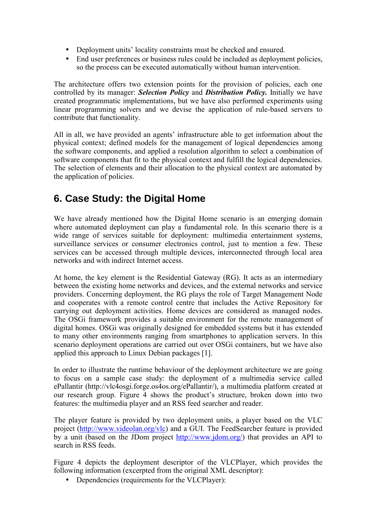- Deployment units' locality constraints must be checked and ensured.
- End user preferences or business rules could be included as deployment policies, so the process can be executed automatically without human intervention.

The architecture offers two extension points for the provision of policies, each one controlled by its manager: Selection Policy and Distribution Policy. Initially we have created programmatic implementations, but we have also performed experiments using linear programming solvers and we devise the application of rule-based servers to contribute that functionality.

All in all, we have provided an agents' infrastructure able to get information about the physical context; defined models for the management of logical dependencies among the software components, and applied a resolution algorithm to select a combination of software components that fit to the physical context and fulfill the logical dependencies. The selection of elements and their allocation to the physical context are automated by the application of policies.

# **6. Case Study: the Digital Home**

We have already mentioned how the Digital Home scenario is an emerging domain where automated deployment can play a fundamental role. In this scenario there is a wide range of services suitable for deployment: multimedia entertainment systems, surveillance services or consumer electronics control, just to mention a few. These services can be accessed through multiple devices, interconnected through local area networks and with indirect Internet access.

At home, the key element is the Residential Gateway (RG). It acts as an intermediary between the existing home networks and devices, and the external networks and service providers. Concerning deployment, the RG plays the role of Target Management Node and cooperates with a remote control centre that includes the Active Repository for carrying out deployment activities. Home devices are considered as managed nodes. The OSGi framework provides a suitable environment for the remote management of digital homes. OSGi was originally designed for embedded systems but it has extended to many other environments ranging from smartphones to application servers. In this scenario deployment operations are carried out over OSGi containers, but we have also applied this approach to Linux Debian packages [1].

In order to illustrate the runtime behaviour of the deployment architecture we are going to focus on a sample case study: the deployment of a multimedia service called ePallantir (http://vlc4osgi.forge.os4os.org/ePallantir/), a multimedia platform created at our research group. Figure 4 shows the product's structure, broken down into two features: the multimedia player and an RSS feed searcher and reader.

The player feature is provided by two deployment units, a player based on the VLC project (http://www.videolan.org/vlc) and a GUI. The FeedSearcher feature is provided by a unit (based on the JDom project http://www.jdom.org/) that provides an API to search in RSS feeds.

Figure 4 depicts the deployment descriptor of the VLCPlayer, which provides the following information (excerpted from the original XML descriptor):

• Dependencies (requirements for the VLCPlayer):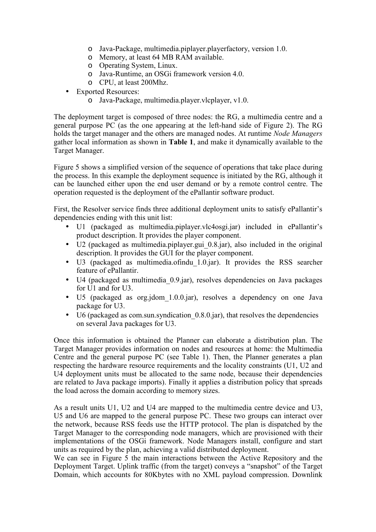- o Java-Package, multimedia.piplayer.playerfactory, version 1.0.
- o Memory, at least 64 MB RAM available.
- o Operating System, Linux.
- o Java-Runtime, an OSGi framework version 4.0.
- o CPU, at least 200Mhz.
- Exported Resources:
	- o Java-Package, multimedia.player.vlcplayer, v1.0.

The deployment target is composed of three nodes: the RG, a multimedia centre and a general purpose PC (as the one appearing at the left-hand side of Figure 2). The RG holds the target manager and the others are managed nodes. At runtime Node Managers gather local information as shown in Table 1, and make it dynamically available to the Target Manager.

Figure 5 shows a simplified version of the sequence of operations that take place during the process. In this example the deployment sequence is initiated by the RG, although it can be launched either upon the end user demand or by a remote control centre. The operation requested is the deployment of the ePallantir software product.

First, the Resolver service finds three additional deployment units to satisfy ePallantir's dependencies ending with this unit list:

- U1 (packaged as multimedia.piplayer.vlc4osgi.jar) included in ePallantir's product description. It provides the player component.
- U2 (packaged as multimedia.piplayer.gui 0.8.jar), also included in the original description. It provides the GUI for the player component.
- U3 (packaged as multimedia.ofindu\_1.0.jar). It provides the RSS searcher feature of ePallantir.
- U4 (packaged as multimedia 0.9.jar), resolves dependencies on Java packages for U1 and for U3.
- U5 (packaged as org.jdom 1.0.0.jar), resolves a dependency on one Java package for U3.
- U6 (packaged as com.sun.syndication 0.8.0.jar), that resolves the dependencies on several Java packages for U3.

Once this information is obtained the Planner can elaborate a distribution plan. The Target Manager provides information on nodes and resources at home: the Multimedia Centre and the general purpose PC (see Table 1). Then, the Planner generates a plan respecting the hardware resource requirements and the locality constraints (U1, U2 and U4 deployment units must be allocated to the same node, because their dependencies are related to Java package imports). Finally it applies a distribution policy that spreads the load across the domain according to memory sizes.

As a result units U1, U2 and U4 are mapped to the multimedia centre device and U3, U5 and U6 are mapped to the general purpose PC. These two groups can interact over the network, because RSS feeds use the HTTP protocol. The plan is dispatched by the Target Manager to the corresponding node managers, which are provisioned with their implementations of the OSGi framework. Node Managers install, configure and start units as required by the plan, achieving a valid distributed deployment.

We can see in Figure 5 the main interactions between the Active Repository and the Deployment Target. Uplink traffic (from the target) conveys a "snapshot" of the Target Domain, which accounts for 80Kbytes with no XML payload compression. Downlink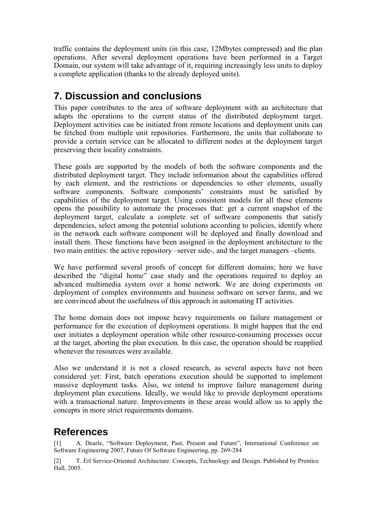traffic contains the deployment units (in this case, 12Mbytes compressed) and the plan operations. After several deployment operations have been performed in a Target Domain, our system will take advantage of it, requiring increasingly less units to deploy a complete application (thanks to the already deployed units).

## **7. Discussion and conclusions**

This paper contributes to the area of software deployment with an architecture that adapts the operations to the current status of the distributed deployment target. Deployment activities can be initiated from remote locations and deployment units can be fetched from multiple unit repositories. Furthermore, the units that collaborate to provide a certain service can be allocated to different nodes at the deployment target preserving their locality constraints.

These goals are supported by the models of both the software components and the distributed deployment target. They include information about the capabilities offered by each element, and the restrictions or dependencies to other elements, usually software components. Software components' constraints must be satisfied by capabilities of the deployment target. Using consistent models for all these elements opens the possibility to automate the processes that: get a current snapshot of the deployment target, calculate a complete set of software components that satisfy dependencies, select among the potential solutions according to policies, identify where in the network each software component will be deployed and finally download and install them. These functions have been assigned in the deployment architecture to the two main entities: the active repository –server side-, and the target managers –clients.

We have performed several proofs of concept for different domains; here we have described the "digital home" case study and the operations required to deploy an advanced multimedia system over a home network. We are doing experiments on deployment of complex environments and business software on server farms, and we are convinced about the usefulness of this approach in automating IT activities.

The home domain does not impose heavy requirements on failure management or performance for the execution of deployment operations. It might happen that the end user initiates a deployment operation while other resource-consuming processes occur at the target, aborting the plan execution. In this case, the operation should be reapplied whenever the resources were available.

Also we understand it is not a closed research, as several aspects have not been considered yet: First, batch operations execution should be supported to implement massive deployment tasks. Also, we intend to improve failure management during deployment plan executions. Ideally, we would like to provide deployment operations with a transactional nature. Improvements in these areas would allow us to apply the concepts in more strict requirements domains.

## **References**

[1] A. Dearle, "Software Deployment, Past, Present and Future", International Conference on Software Engineering 2007, Future Of Software Engineering, pp. 269-284

[2] T. Erl Service-Oriented Architecture. Concepts, Technology and Design. Published by Prentice Hall, 2005.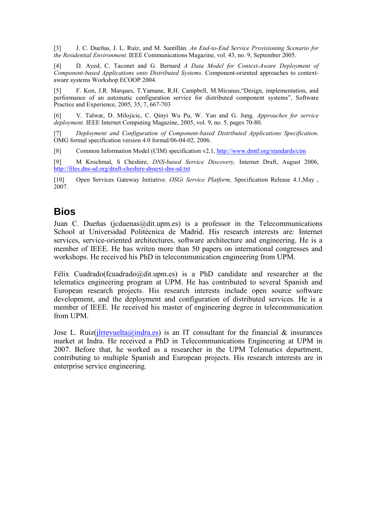[3] J. C. Dueñas, J. L. Ruiz, and M. Santillán. An End-to-End Service Provisioning Scenario for the Residential Environment. IEEE Communications Magazine, vol. 43, no. 9, September 2005.

[4] D. Ayed, C. Taconet and G. Bernard A Data Model for Context-Aware Deployment of Component-based Applications onto Distributed Systems. Component-oriented approaches to contextaware systems Workshop ECOOP 2004.

[5] F. Kon, J.R. Marques, T.Yamane, R.H. Campbell, M.Micunas,"Design, implementation, and performance of an automatic configuration service for distributed component systems", Software Practice and Experience, 2005, 35, 7, 667-703

[6] V. Talwar, D. Milojicic, C. Qinyi Wu Pu, W. Yan and G. Jung. Approaches for service deployment. IEEE Internet Computing Magazine, 2005, vol. 9, no. 5, pages 70-80.

[7] Deployment and Configuration of Component-based Distributed Applications Specification. OMG formal specification version 4.0 formal/06-04-02, 2006.

[8] Common Information Model (CIM) specification v2.1, http://www.dmtf.org/standards/cim

[9] M Krochmal, S Cheshire, DNS-based Service Discovery, Internet Draft, August 2006, http://files.dns-sd.org/draft-cheshire-dnsext-dns-sd.txt

[10] Open Services Gateway Initiative. OSGi Service Platform, Specification Release 4.1, May, 2007.

### **Bios**

Juan C. Dueñas (jcduenas@dit.upm.es) is a professor in the Telecommunications School at Universidad Politécnica de Madrid. His research interests are: Internet services, service-oriented architectures, software architecture and engineering. He is a member of IEEE. He has writen more than 50 papers on international congresses and workshops. He received his PhD in telecommunication engineering from UPM.

Félix Cuadrado(fcuadrado@dit.upm.es) is a PhD candidate and researcher at the telematics engineering program at UPM. He has contributed to several Spanish and European research projects. His research interests include open source software development, and the deployment and configuration of distributed services. He is a member of IEEE. He received his master of engineering degree in telecommunication from UPM.

Jose L. Ruiz( $\iint$ Irrevuelta@indra.es) is an IT consultant for the financial & insurances market at Indra. He received a PhD in Telecommunications Engineering at UPM in 2007. Before that, he worked as a researcher in the UPM Telematics department, contributing to multiple Spanish and European projects. His research interests are in enterprise service engineering.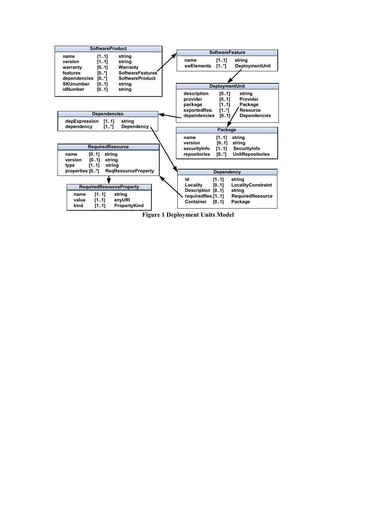

Figure 1 Deployment Units Model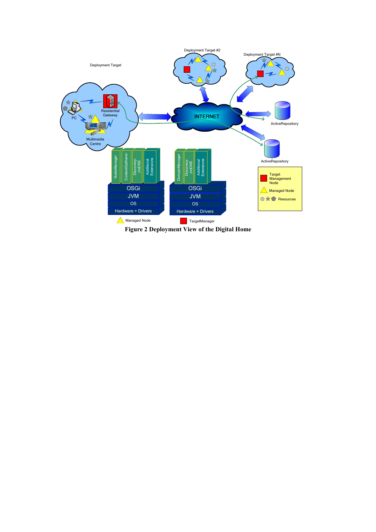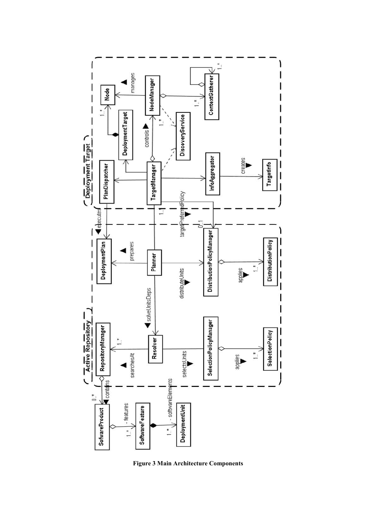

Figure 3 Main Architecture Components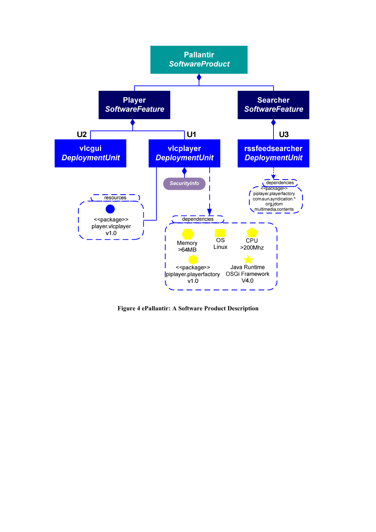

Figure 4 ePallantir: A Software Product Description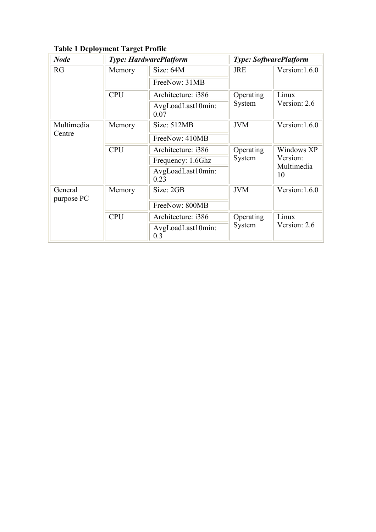| <b>Node</b>           | <b>Type: HardwarePlatform</b> |                           | <b>Type: SoftwarePlatform</b> |                                            |
|-----------------------|-------------------------------|---------------------------|-------------------------------|--------------------------------------------|
| RG                    | Memory                        | Size: $64M$               | <b>JRE</b>                    | Version: 1.6.0                             |
|                       |                               | FreeNow: 31MB             |                               |                                            |
|                       | <b>CPU</b>                    | Architecture: i386        | Operating<br>System           | Linux<br>Version: 2.6                      |
|                       |                               | AvgLoadLast10min:<br>0.07 |                               |                                            |
| Multimedia<br>Centre  | Memory                        | Size: 512MB               | <b>JVM</b>                    | Version: 1.6.0                             |
|                       |                               | FreeNow: 410MB            |                               |                                            |
|                       | <b>CPU</b>                    | Architecture: i386        | Operating<br>System           | Windows XP<br>Version:<br>Multimedia<br>10 |
|                       |                               | Frequency: 1.6Ghz         |                               |                                            |
|                       |                               | AvgLoadLast10min:<br>0.23 |                               |                                            |
| General<br>purpose PC | Memory                        | Size: 2GB                 | <b>JVM</b>                    | Version: $1.6.0$                           |
|                       |                               | FreeNow: 800MB            |                               |                                            |
|                       | <b>CPU</b>                    | Architecture: i386        | Operating<br>System           | Linux<br>Version: 2.6                      |
|                       |                               | AvgLoadLast10min:<br>0.3  |                               |                                            |

Table 1 Deployment Target Profile